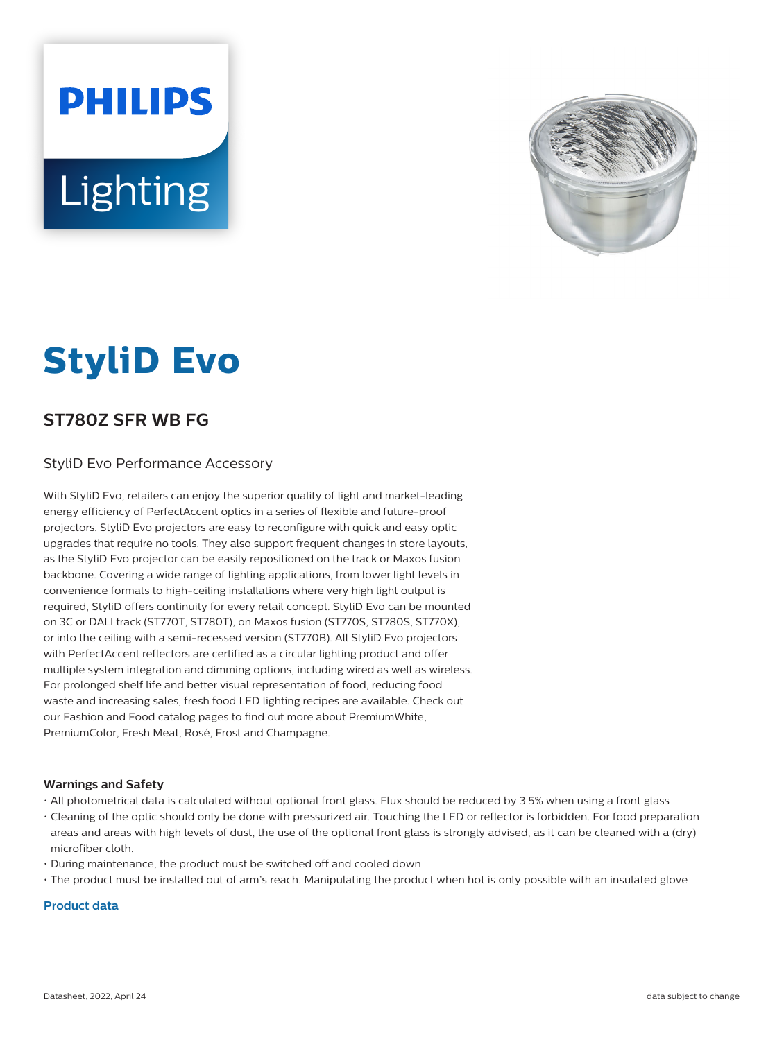# **PHILIPS** Lighting



## **StyliD Evo**

### **ST780Z SFR WB FG**

#### StyliD Evo Performance Accessory

With StyliD Evo, retailers can enjoy the superior quality of light and market-leading energy efficiency of PerfectAccent optics in a series of flexible and future-proof projectors. StyliD Evo projectors are easy to reconfigure with quick and easy optic upgrades that require no tools. They also support frequent changes in store layouts, as the StyliD Evo projector can be easily repositioned on the track or Maxos fusion backbone. Covering a wide range of lighting applications, from lower light levels in convenience formats to high-ceiling installations where very high light output is required, StyliD offers continuity for every retail concept. StyliD Evo can be mounted on 3C or DALI track (ST770T, ST780T), on Maxos fusion (ST770S, ST780S, ST770X), or into the ceiling with a semi-recessed version (ST770B). All StyliD Evo projectors with PerfectAccent reflectors are certified as a circular lighting product and offer multiple system integration and dimming options, including wired as well as wireless. For prolonged shelf life and better visual representation of food, reducing food waste and increasing sales, fresh food LED lighting recipes are available. Check out our Fashion and Food catalog pages to find out more about PremiumWhite, PremiumColor, Fresh Meat, Rosé, Frost and Champagne.

#### **Warnings and Safety**

- All photometrical data is calculated without optional front glass. Flux should be reduced by 3.5% when using a front glass
- Cleaning of the optic should only be done with pressurized air. Touching the LED or reflector is forbidden. For food preparation areas and areas with high levels of dust, the use of the optional front glass is strongly advised, as it can be cleaned with a (dry) microfiber cloth.
- During maintenance, the product must be switched off and cooled down
- The product must be installed out of arm's reach. Manipulating the product when hot is only possible with an insulated glove

#### **Product data**